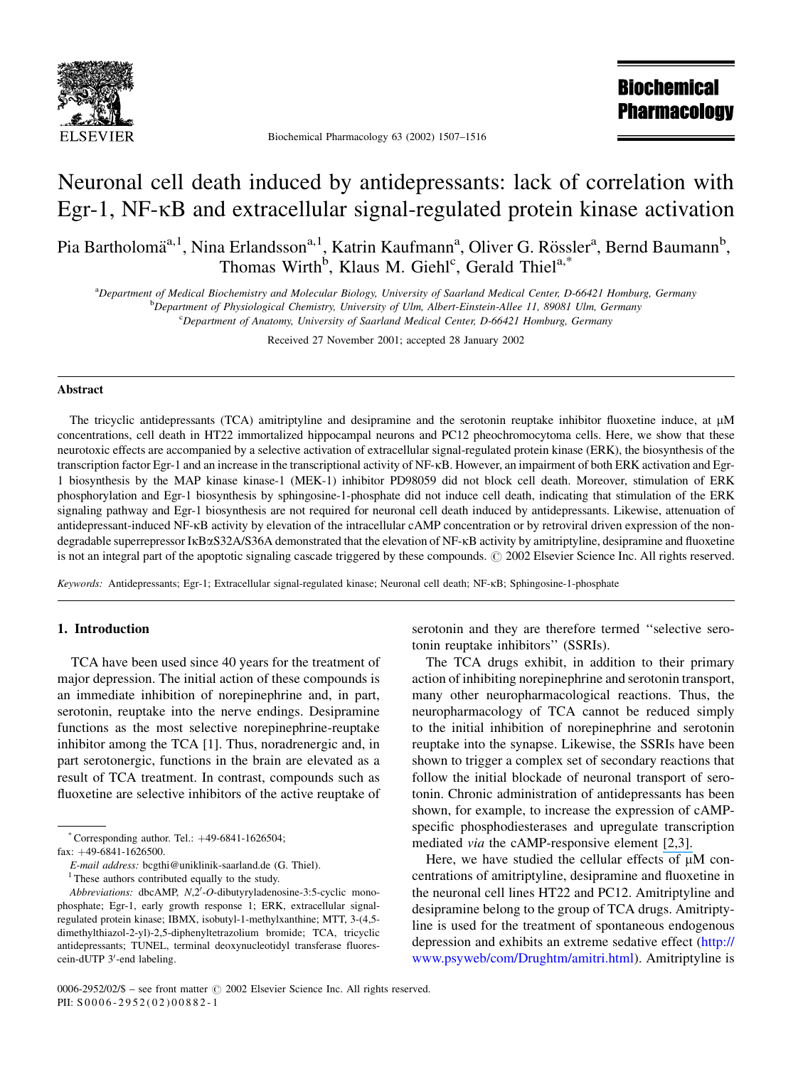

Biochemical Pharmacology 63 (2002) 1507-1516

**Biochemical Pharmacology** 

# Neuronal cell death induced by antidepressants: lack of correlation with Egr-1, NF-KB and extracellular signal-regulated protein kinase activation

Pia Bartholomä<sup>a,1</sup>, Nina Erlandsson<sup>a,1</sup>, Katrin Kaufmann<sup>a</sup>, Oliver G. Rössler<sup>a</sup>, Bernd Baumann<sup>b</sup>, Thomas Wirth<sup>b</sup>, Klaus M. Giehl<sup>c</sup>, Gerald Thiel<sup>a,\*</sup>

aDepartment of Medical Biochemistry and Molecular Biology, University of Saarland Medical Center, D-66421 Homburg, Germany

<sup>b</sup>Department of Physiological Chemistry, University of Ulm, Albert-Einstein-Allee 11, 89081 Ulm, Germany

<sup>c</sup>Department of Anatomy, University of Saarland Medical Center, D-66421 Homburg, Germany

Received 27 November 2001; accepted 28 January 2002

#### Abstract

The tricyclic antidepressants (TCA) amitriptyline and desipramine and the serotonin reuptake inhibitor fluoxetine induce, at  $\mu$ M concentrations, cell death in HT22 immortalized hippocampal neurons and PC12 pheochromocytoma cells. Here, we show that these neurotoxic effects are accompanied by a selective activation of extracellular signal-regulated protein kinase (ERK), the biosynthesis of the transcription factor Egr-1 and an increase in the transcriptional activity of NF-KB. However, an impairment of both ERK activation and Egr-1 biosynthesis by the MAP kinase kinase-1 (MEK-1) inhibitor PD98059 did not block cell death. Moreover, stimulation of ERK phosphorylation and Egr-1 biosynthesis by sphingosine-1-phosphate did not induce cell death, indicating that stimulation of the ERK signaling pathway and Egr-1 biosynthesis are not required for neuronal cell death induced by antidepressants. Likewise, attenuation of antidepressant-induced NF- $\kappa$ B activity by elevation of the intracellular cAMP concentration or by retroviral driven expression of the nondegradable superrepressor IKBxS32A/S36A demonstrated that the elevation of NF-KB activity by amitriptyline, desipramine and fluoxetine is not an integral part of the apoptotic signaling cascade triggered by these compounds. © 2002 Elsevier Science Inc. All rights reserved.

Keywords: Antidepressants; Egr-1; Extracellular signal-regulated kinase; Neuronal cell death; NF-KB; Sphingosine-1-phosphate

### 1. Introduction

TCA have been used since 40 years for the treatment of major depression. The initial action of these compounds is an immediate inhibition of norepinephrine and, in part, serotonin, reuptake into the nerve endings. Desipramine functions as the most selective norepinephrine-reuptake inhibitor among the TCA [1]. Thus, noradrenergic and, in part serotonergic, functions in the brain are elevated as a result of TCA treatment. In contrast, compounds such as fluoxetine are selective inhibitors of the active reuptake of

\* Corresponding author. Tel.:  $+49-6841-1626504$ ;

fax:  $+49-6841-1626500$ .

E-mail address: bcgthi@uniklinik-saarland.de (G. Thiel).

<sup>1</sup> These authors contributed equally to the study.

serotonin and they are therefore termed "selective serotonin reuptake inhibitors" (SSRIs).

The TCA drugs exhibit, in addition to their primary action of inhibiting norepine phrine and seroton in transport, many other neuropharmacological reactions. Thus, the neuropharmacology of TCA cannot be reduced simply to the initial inhibition of norepinephrine and serotonin reuptake into the synapse. Likewise, the SSRIs have been shown to trigger a complex set of secondary reactions that follow the initial blockade of neuronal transport of serotonin. Chronic administration of antidepressants has been shown, for example, to increase the expression of cAMPspecific phosphodiesterases and upregulate transcription mediated *via* the cAMP-responsive element [2,3].

Here, we have studied the cellular effects of  $\mu$ M concentrations of amitriptyline, desipramine and fluoxetine in the neuronal cell lines HT22 and PC12. Amitriptyline and desipramine belong to the group of TCA drugs. Amitriptyline is used for the treatment of spontaneous endogenous depression and exhibits an extreme sedative effect (http:// www.psyweb/com/Drughtm/amitri.html). Amitriptyline is

Abbreviations: dbcAMP, N,2'-O-dibutyryladenosine-3:5-cyclic monophosphate; Egr-1, early growth response 1; ERK, extracellular signalregulated protein kinase; IBMX, isobutyl-1-methylxanthine; MTT, 3-(4,5dimethylthiazol-2-yl)-2,5-diphenyltetrazolium bromide; TCA, tricyclic antidepressants; TUNEL, terminal deoxynucleotidyl transferase fluorescein-dUTP 3'-end labeling.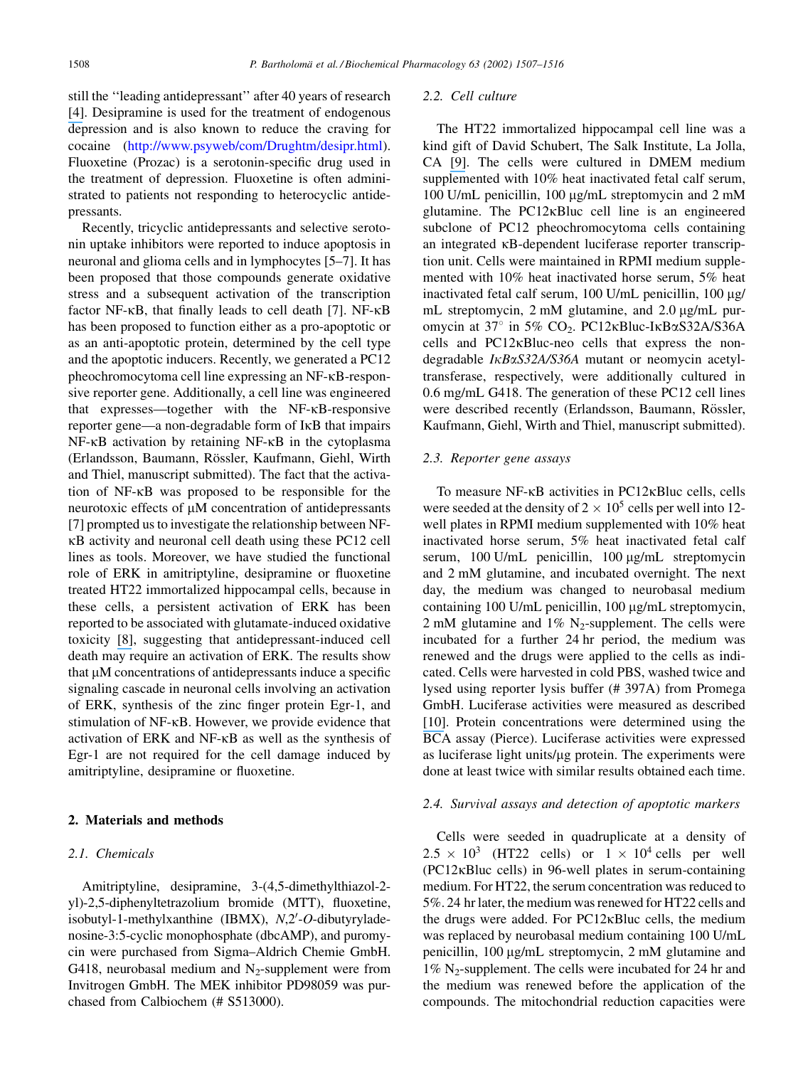still the "leading antidepressant" after 40 years of research [4]. Desipramine is used for the treatment of endogenous depression and is also known to reduce the craving for cocaine (http://www.psyweb/com/Drughtm/desipr.html). Fluoxetine (Prozac) is a serotonin-specific drug used in the treatment of depression. Fluoxetine is often administrated to patients not responding to heterocyclic antidepressants.

Recently, tricyclic antidepressants and selective serotonin uptake inhibitors were reported to induce apoptosis in neuronal and glioma cells and in lymphocytes [5–7]. It has been proposed that those compounds generate oxidative stress and a subsequent activation of the transcription factor NF-KB, that finally leads to cell death [7]. NF-KB has been proposed to function either as a pro-apoptotic or as an anti-apoptotic protein, determined by the cell type and the apoptotic inducers. Recently, we generated a PC12 pheochromocytoma cell line expressing an NF-KB-responsive reporter gene. Additionally, a cell line was engineered that expresses—together with the NF-KB-responsive reporter gene—a non-degradable form of IKB that impairs  $NF$ - $\kappa$ B activation by retaining  $NF$ - $\kappa$ B in the cytoplasma (Erlandsson, Baumann, Rössler, Kaufmann, Giehl, Wirth and Thiel, manuscript submitted). The fact that the activation of NF-KB was proposed to be responsible for the neurotoxic effects of µM concentration of antidepressants [7] prompted us to investigate the relationship between NF-KB activity and neuronal cell death using these PC12 cell lines as tools. Moreover, we have studied the functional role of ERK in amitriptyline, desipramine or fluoxetine treated HT22 immortalized hippocampal cells, because in these cells, a persistent activation of ERK has been reported to be associated with glutamate-induced oxidative toxicity [8], suggesting that antidepressant-induced cell death may require an activation of ERK. The results show that  $\mu$ M concentrations of antidepressants induce a specific signaling cascade in neuronal cells involving an activation of ERK, synthesis of the zinc finger protein Egr-1, and stimulation of NF-KB. However, we provide evidence that activation of ERK and NF-KB as well as the synthesis of Egr-1 are not required for the cell damage induced by amitriptyline, desipramine or fluoxetine.

#### 2. Materials and methods

### 2.1. Chemicals

Amitriptyline, desipramine, 3-(4,5-dimethylthiazol-2yl)-2,5-diphenyltetrazolium bromide (MTT), fluoxetine, isobutyl-1-methylxanthine (IBMX), N,2'-O-dibutyryladenosine-3:5-cyclic monophosphate (dbcAMP), and puromycin were purchased from Sigma-Aldrich Chemie GmbH. G418, neurobasal medium and  $N_2$ -supplement were from Invitrogen GmbH. The MEK inhibitor PD98059 was purchased from Calbiochem (# S513000).

#### 2.2. Cell culture

The HT22 immortalized hippocampal cell line was a kind gift of David Schubert, The Salk Institute, La Jolla, CA [9]. The cells were cultured in DMEM medium supplemented with 10% heat inactivated fetal calf serum, 100 U/mL penicillin, 100 μg/mL streptomycin and 2 mM glutamine. The PC12KBluc cell line is an engineered subclone of PC12 pheochromocytoma cells containing an integrated  $\kappa$ B-dependent luciferase reporter transcription unit. Cells were maintained in RPMI medium supplemented with 10% heat inactivated horse serum, 5% heat inactivated fetal calf serum, 100 U/mL penicillin, 100 µg/ mL streptomycin, 2 mM glutamine, and 2.0 µg/mL puromycin at 37° in 5%  $CO<sub>2</sub>$ . PC12 $\kappa$ Bluc-I $\kappa$ B $\alpha$ S32A/S36A cells and PC12KBluc-neo cells that express the nondegradable IKBaS32A/S36A mutant or neomycin acetyltransferase, respectively, were additionally cultured in 0.6 mg/mL G418. The generation of these PC12 cell lines were described recently (Erlandsson, Baumann, Rössler, Kaufmann, Giehl, Wirth and Thiel, manuscript submitted).

#### 2.3. Reporter gene assays

To measure NF-KB activities in PC12KBluc cells, cells were seeded at the density of  $2 \times 10^5$  cells per well into 12well plates in RPMI medium supplemented with 10% heat inactivated horse serum, 5% heat inactivated fetal calf serum, 100 U/mL penicillin, 100 µg/mL streptomycin and 2 mM glutamine, and incubated overnight. The next day, the medium was changed to neurobasal medium containing 100 U/mL penicillin, 100 μg/mL streptomycin, 2 mM glutamine and 1%  $N_2$ -supplement. The cells were incubated for a further 24 hr period, the medium was renewed and the drugs were applied to the cells as indicated. Cells were harvested in cold PBS, washed twice and lysed using reporter lysis buffer (#397A) from Promega GmbH. Luciferase activities were measured as described [10]. Protein concentrations were determined using the BCA assay (Pierce). Luciferase activities were expressed as luciferase light units/µg protein. The experiments were done at least twice with similar results obtained each time.

#### 2.4. Survival assays and detection of apoptotic markers

Cells were seeded in quadruplicate at a density of  $2.5 \times 10^3$  (HT22 cells) or  $1 \times 10^4$  cells per well  $(PC12\kappa$ Bluc cells) in 96-well plates in serum-containing medium. For HT22, the serum concentration was reduced to 5%. 24 hr later, the medium was renewed for HT22 cells and the drugs were added. For PC12KBluc cells, the medium was replaced by neurobasal medium containing 100 U/mL penicillin, 100 μg/mL streptomycin, 2 mM glutamine and  $1\%$  N<sub>2</sub>-supplement. The cells were incubated for 24 hr and the medium was renewed before the application of the compounds. The mitochondrial reduction capacities were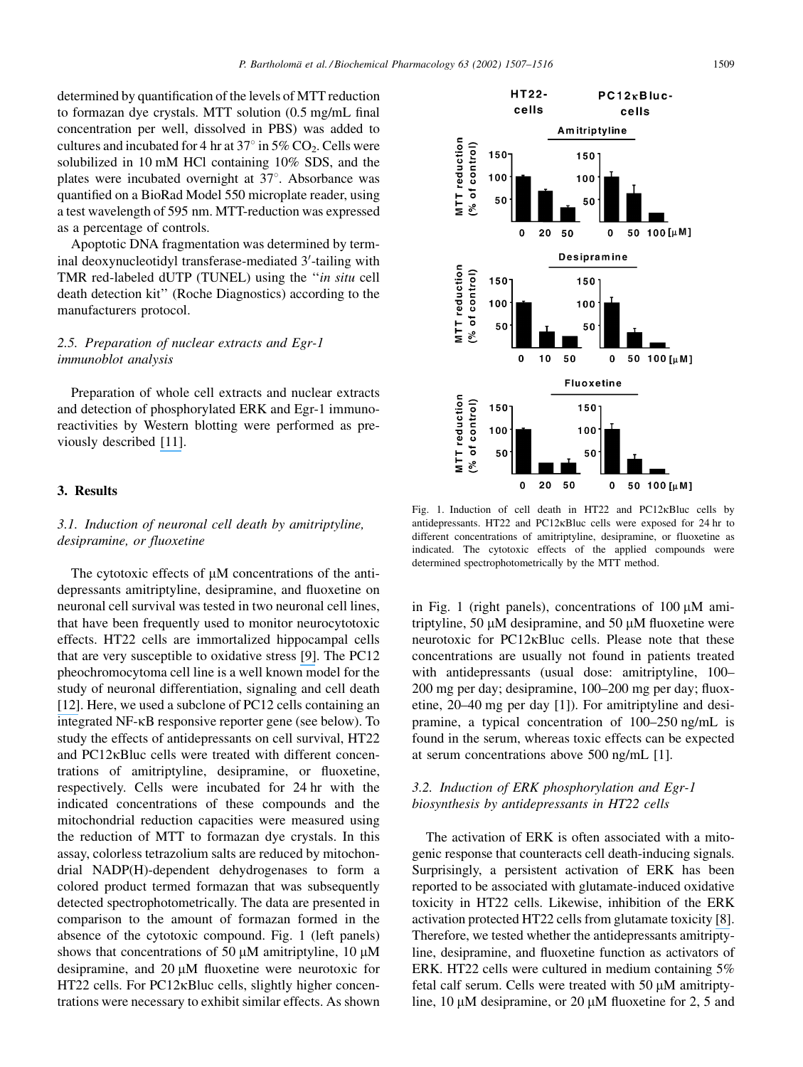determined by quantification of the levels of MTT reduction to formazan dye crystals. MTT solution (0.5 mg/mL final) concentration per well, dissolved in PBS) was added to cultures and incubated for 4 hr at  $37^{\circ}$  in  $5\%$  CO<sub>2</sub>. Cells were solubilized in 10 mM HCl containing 10% SDS, and the plates were incubated overnight at 37°. Absorbance was quantified on a BioRad Model 550 microplate reader, using a test wavelength of 595 nm. MTT-reduction was expressed as a percentage of controls.

Apoptotic DNA fragmentation was determined by terminal deoxynucleotidyl transferase-mediated 3'-tailing with TMR red-labeled dUTP (TUNEL) using the "in situ cell death detection kit" (Roche Diagnostics) according to the manufacturers protocol.

## 2.5. Preparation of nuclear extracts and Egr-1 immunoblot analysis

Preparation of whole cell extracts and nuclear extracts and detection of phosphorylated ERK and Egr-1 immunoreactivities by Western blotting were performed as previously described [11].

### 3. Results

# 3.1. Induction of neuronal cell death by amitriptyline, desipramine, or fluoxetine

The cytotoxic effects of  $\mu$ M concentrations of the antidepressants amitriptyline, desipramine, and fluoxetine on neuronal cell survival was tested in two neuronal cell lines, that have been frequently used to monitor neurocytotoxic effects. HT22 cells are immortalized hippocampal cells that are very susceptible to oxidative stress [9]. The PC12 pheochromocytoma cell line is a well known model for the study of neuronal differentiation, signaling and cell death [12]. Here, we used a subclone of PC12 cells containing an integrated NF-KB responsive reporter gene (see below). To study the effects of antidepressants on cell survival, HT22 and PC12KBluc cells were treated with different concentrations of amitriptyline, desipramine, or fluoxetine, respectively. Cells were incubated for 24 hr with the indicated concentrations of these compounds and the mitochondrial reduction capacities were measured using the reduction of MTT to formazan dye crystals. In this assay, colorless tetrazolium salts are reduced by mitochondrial NADP(H)-dependent dehydrogenases to form a colored product termed formazan that was subsequently detected spectrophotometrically. The data are presented in comparison to the amount of formazan formed in the absence of the cytotoxic compound. Fig. 1 (left panels) shows that concentrations of 50  $\mu$ M amitriptyline, 10  $\mu$ M desipramine, and  $20 \mu M$  fluoxetine were neurotoxic for HT22 cells. For PC12<sub>K</sub>Bluc cells, slightly higher concentrations were necessary to exhibit similar effects. As shown



Fig. 1. Induction of cell death in HT22 and PC12KBluc cells by antidepressants. HT22 and PC12KBluc cells were exposed for 24 hr to different concentrations of amitriptyline, desipramine, or fluoxetine as indicated. The cytotoxic effects of the applied compounds were determined spectrophotometrically by the MTT method.

in Fig. 1 (right panels), concentrations of  $100 \mu M$  amitriptyline, 50  $\mu$ M desipramine, and 50  $\mu$ M fluoxetine were neurotoxic for PC12KBluc cells. Please note that these concentrations are usually not found in patients treated with antidepressants (usual dose: amitriptyline, 100-200 mg per day; desipramine, 100–200 mg per day; fluoxetine,  $20-40$  mg per day [1]). For amitriptyline and desipramine, a typical concentration of 100–250 ng/mL is found in the serum, whereas toxic effects can be expected at serum concentrations above 500 ng/mL [1].

# 3.2. Induction of ERK phosphorylation and Egr-1 biosynthesis by antidepressants in HT22 cells

The activation of ERK is often associated with a mitogenic response that counteracts cell death-inducing signals. Surprisingly, a persistent activation of ERK has been reported to be associated with glutamate-induced oxidative toxicity in HT22 cells. Likewise, inhibition of the ERK activation protected HT22 cells from glutamate toxicity [8]. Therefore, we tested whether the antidepressants amitriptyline, desipramine, and fluoxetine function as activators of ERK. HT22 cells were cultured in medium containing 5% fetal calf serum. Cells were treated with 50 µM amitriptyline, 10  $\mu$ M desipramine, or 20  $\mu$ M fluoxetine for 2, 5 and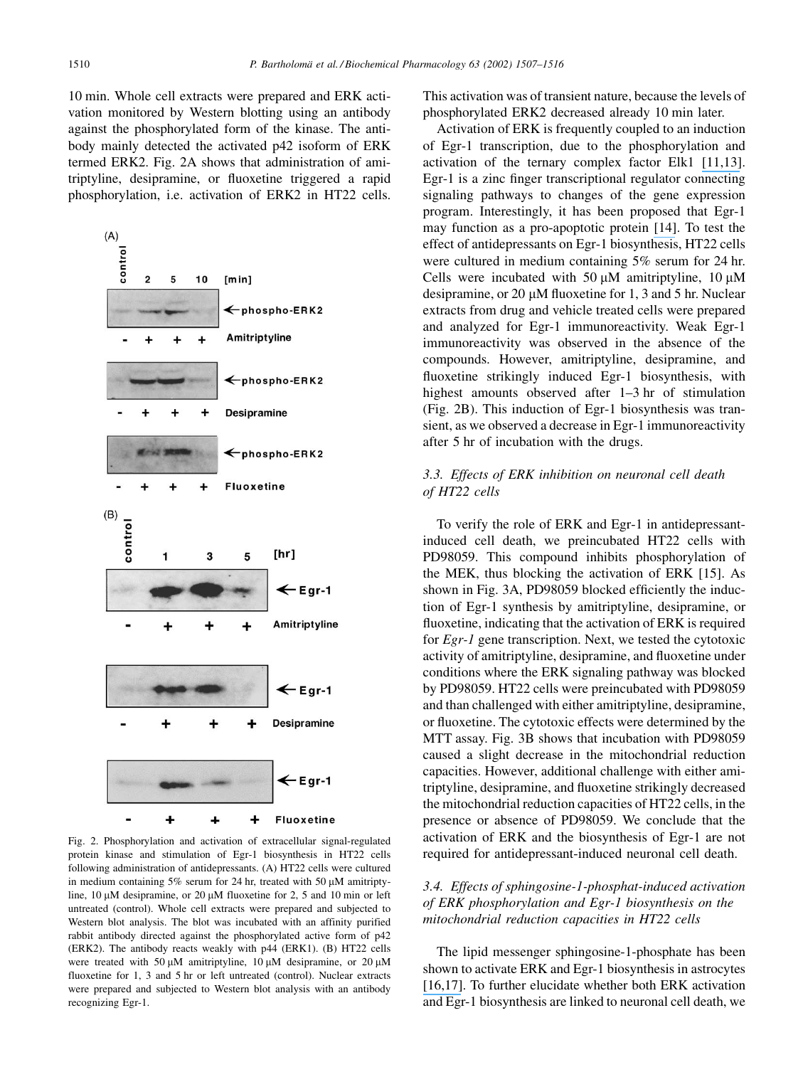10 min. Whole cell extracts were prepared and ERK activation monitored by Western blotting using an antibody against the phosphorylated form of the kinase. The antibody mainly detected the activated p42 isoform of ERK termed ERK2. Fig. 2A shows that administration of amitriptyline, desipramine, or fluoxetine triggered a rapid phosphorylation, i.e. activation of ERK2 in HT22 cells.



Fig. 2. Phosphorylation and activation of extracellular signal-regulated protein kinase and stimulation of Egr-1 biosynthesis in HT22 cells following administration of antidepressants. (A) HT22 cells were cultured in medium containing 5% serum for 24 hr, treated with 50  $\mu$ M amitriptyline, 10 µM desipramine, or 20 µM fluoxetine for 2, 5 and 10 min or left untreated (control). Whole cell extracts were prepared and subjected to Western blot analysis. The blot was incubated with an affinity purified rabbit antibody directed against the phosphorylated active form of p42 (ERK2). The antibody reacts weakly with p44 (ERK1). (B) HT22 cells were treated with 50  $\mu$ M amitriptyline, 10  $\mu$ M desipramine, or 20  $\mu$ M fluoxetine for 1, 3 and 5 hr or left untreated (control). Nuclear extracts were prepared and subjected to Western blot analysis with an antibody recognizing Egr-1.

This activation was of transient nature, because the levels of phosphorylated ERK2 decreased already 10 min later.

Activation of ERK is frequently coupled to an induction of Egr-1 transcription, due to the phosphorylation and activation of the ternary complex factor Elk1 [11,13]. Egr-1 is a zinc finger transcriptional regulator connecting signaling pathways to changes of the gene expression program. Interestingly, it has been proposed that Egr-1 may function as a pro-apoptotic protein [14]. To test the effect of antidepressants on Egr-1 biosynthesis, HT22 cells were cultured in medium containing 5% serum for 24 hr. Cells were incubated with 50  $\mu$ M amitriptyline, 10  $\mu$ M desipramine, or 20  $\mu$ M fluoxetine for 1, 3 and 5 hr. Nuclear extracts from drug and vehicle treated cells were prepared and analyzed for Egr-1 immunoreactivity. Weak Egr-1 immunoreactivity was observed in the absence of the compounds. However, amitriptyline, desipramine, and fluoxetine strikingly induced Egr-1 biosynthesis, with highest amounts observed after 1–3 hr of stimulation (Fig. 2B). This induction of Egr-1 biosynthesis was transient, as we observed a decrease in Egr-1 immunoreactivity after 5 hr of incubation with the drugs.

## 3.3. Effects of ERK inhibition on neuronal cell death of HT22 cells

To verify the role of ERK and Egr-1 in antidepressantinduced cell death, we preincubated HT22 cells with PD98059. This compound inhibits phosphorylation of the MEK, thus blocking the activation of ERK [15]. As shown in Fig. 3A, PD98059 blocked efficiently the induction of Egr-1 synthesis by amitriptyline, desipramine, or fluoxetine, indicating that the activation of ERK is required for  $Egr-1$  gene transcription. Next, we tested the cytotoxic activity of amitriptyline, desipramine, and fluoxetine under conditions where the ERK signaling pathway was blocked by PD98059. HT22 cells were preincubated with PD98059 and than challenged with either amitriptyline, desipramine, or fluoxetine. The cytotoxic effects were determined by the MTT assay. Fig. 3B shows that incubation with PD98059 caused a slight decrease in the mitochondrial reduction capacities. However, additional challenge with either amitriptyline, desipramine, and fluoxetine strikingly decreased the mitochondrial reduction capacities of HT22 cells, in the presence or absence of PD98059. We conclude that the activation of ERK and the biosynthesis of Egr-1 are not required for antidepressant-induced neuronal cell death.

## 3.4. Effects of sphingosine-1-phosphat-induced activation of ERK phosphorylation and Egr-1 biosynthesis on the mitochondrial reduction capacities in HT22 cells

The lipid messenger sphingosine-1-phosphate has been shown to activate ERK and Egr-1 biosynthesis in astrocytes [16,17]. To further elucidate whether both ERK activation and Egr-1 biosynthesis are linked to neuronal cell death, we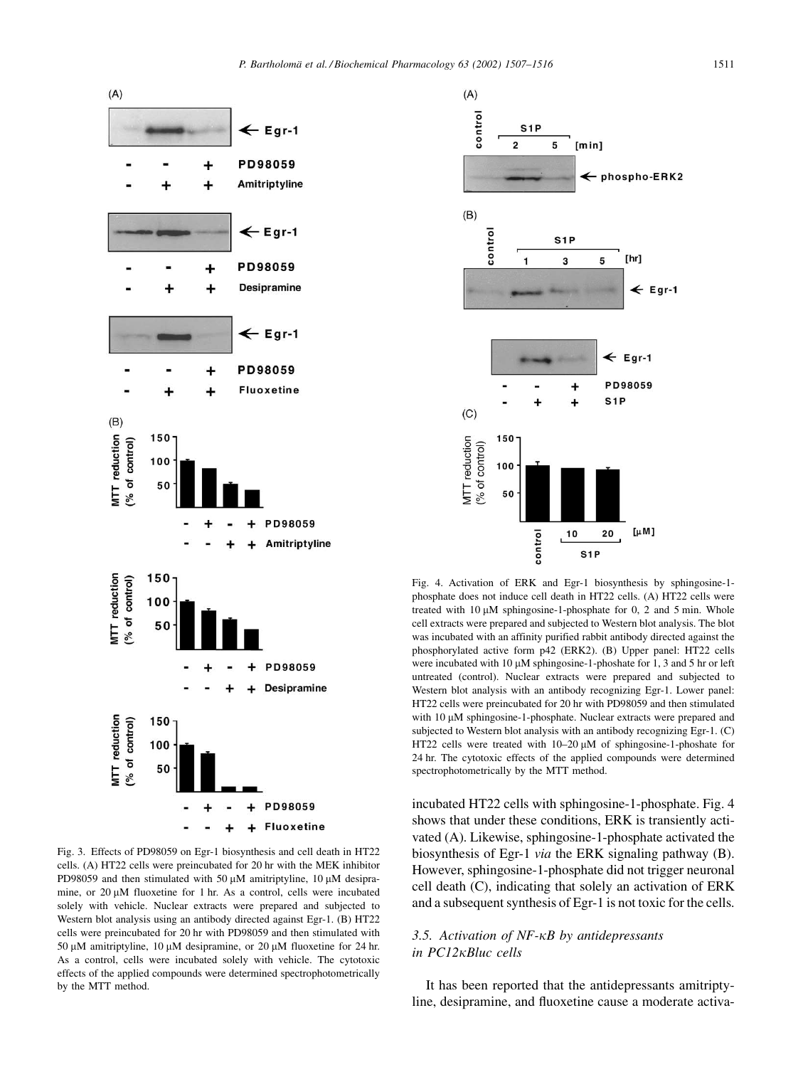

Fig. 3. Effects of PD98059 on Egr-1 biosynthesis and cell death in HT22 cells. (A) HT22 cells were preincubated for 20 hr with the MEK inhibitor PD98059 and then stimulated with 50  $\mu$ M amitriptyline, 10  $\mu$ M desipramine, or  $20 \mu M$  fluoxetine for 1 hr. As a control, cells were incubated solely with vehicle. Nuclear extracts were prepared and subjected to Western blot analysis using an antibody directed against Egr-1. (B) HT22 cells were preincubated for 20 hr with PD98059 and then stimulated with 50  $\mu$ M amitriptyline, 10  $\mu$ M desipramine, or 20  $\mu$ M fluoxetine for 24 hr. As a control, cells were incubated solely with vehicle. The cytotoxic effects of the applied compounds were determined spectrophotometrically by the MTT method.



Fig. 4. Activation of ERK and Egr-1 biosynthesis by sphingosine-1phosphate does not induce cell death in HT22 cells. (A) HT22 cells were treated with  $10 \mu M$  sphingosine-1-phosphate for 0, 2 and 5 min. Whole cell extracts were prepared and subjected to Western blot analysis. The blot was incubated with an affinity purified rabbit antibody directed against the phosphorylated active form p42 (ERK2). (B) Upper panel: HT22 cells were incubated with 10  $\mu$ M sphingosine-1-phoshate for 1, 3 and 5 hr or left untreated (control). Nuclear extracts were prepared and subjected to Western blot analysis with an antibody recognizing Egr-1. Lower panel: HT22 cells were preincubated for 20 hr with PD98059 and then stimulated with 10 µM sphingosine-1-phosphate. Nuclear extracts were prepared and subjected to Western blot analysis with an antibody recognizing Egr-1. (C) HT22 cells were treated with  $10-20 \mu M$  of sphingosine-1-phoshate for 24 hr. The cytotoxic effects of the applied compounds were determined spectrophotometrically by the MTT method.

incubated HT22 cells with sphingosine-1-phosphate. Fig. 4 shows that under these conditions, ERK is transiently activated (A). Likewise, sphingosine-1-phosphate activated the biosynthesis of Egr-1 via the ERK signaling pathway (B). However, sphingosine-1-phosphate did not trigger neuronal cell death (C), indicating that solely an activation of ERK and a subsequent synthesis of Egr-1 is not toxic for the cells.

# 3.5. Activation of NF-KB by antidepressants in PC12<sub>KBluc</sub> cells

It has been reported that the antidepressants amitriptyline, desipramine, and fluoxetine cause a moderate activa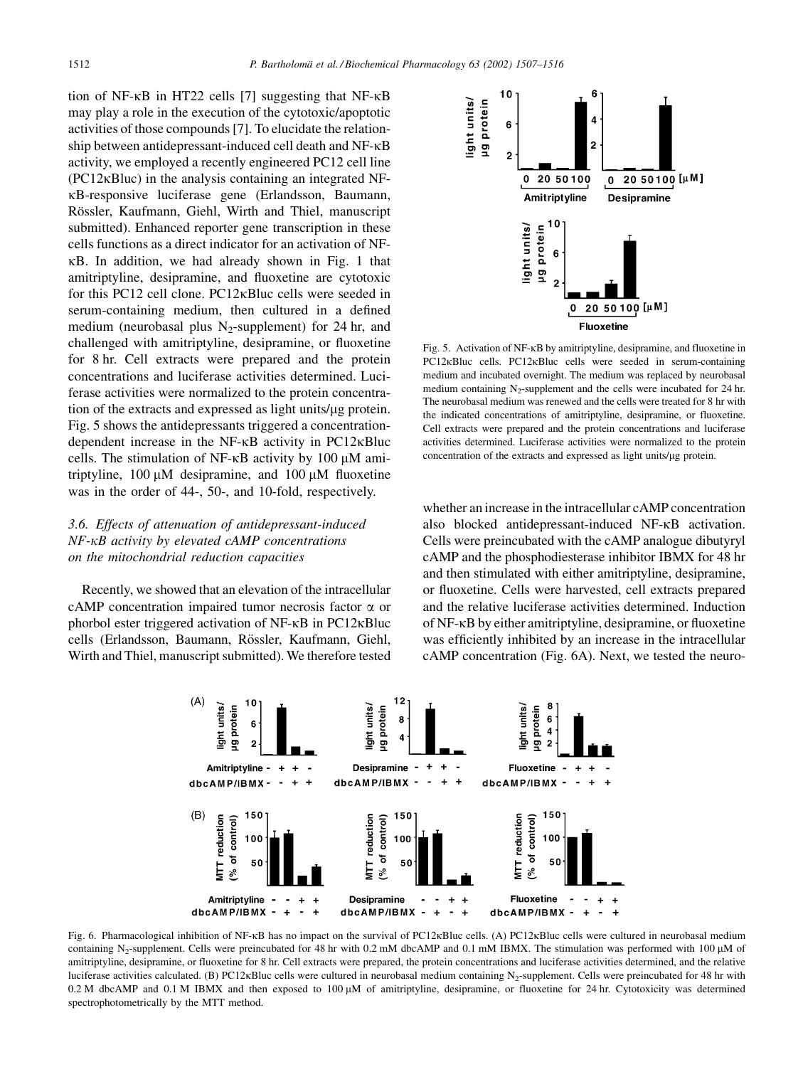tion of NF-κB in HT22 cells [7] suggesting that NF-κB may play a role in the execution of the cytotoxic/apoptotic activities of those compounds [7]. To elucidate the relationship between antidepressant-induced cell death and NF-KB activity, we employed a recently engineered PC12 cell line  $(PC12\kappa B$ luc) in the analysis containing an integrated NF-KB-responsive luciferase gene (Erlandsson, Baumann, Rössler, Kaufmann, Giehl, Wirth and Thiel, manuscript submitted). Enhanced reporter gene transcription in these cells functions as a direct indicator for an activation of NF-KB. In addition, we had already shown in Fig. 1 that amitriptyline, desipramine, and fluoxetine are cytotoxic for this PC12 cell clone. PC12<sub>KB</sub> luc cells were seeded in serum-containing medium, then cultured in a defined medium (neurobasal plus  $N_2$ -supplement) for 24 hr, and challenged with amitriptyline, desipramine, or fluoxetine for 8 hr. Cell extracts were prepared and the protein concentrations and luciferase activities determined. Luciferase activities were normalized to the protein concentration of the extracts and expressed as light units/ $\mu$ g protein. Fig. 5 shows the antidepressants triggered a concentrationdependent increase in the NF-KB activity in PC12KBluc cells. The stimulation of NF- $\kappa$ B activity by 100  $\mu$ M amitriptyline,  $100 \mu M$  desipramine, and  $100 \mu M$  fluoxetine was in the order of 44-, 50-, and 10-fold, respectively.

# 3.6. Effects of attenuation of antidepressant-induced  $NF$ - $\kappa$ B activity by elevated cAMP concentrations on the mitochondrial reduction capacities

Recently, we showed that an elevation of the intracellular cAMP concentration impaired tumor necrosis factor  $\alpha$  or phorbol ester triggered activation of NF-KB in PC12KBluc cells (Erlandsson, Baumann, Rössler, Kaufmann, Giehl, Wirth and Thiel, manuscript submitted). We therefore tested



Fig. 5. Activation of NF-KB by amitriptyline, desipramine, and fluoxetine in PC12KBluc cells. PC12KBluc cells were seeded in serum-containing medium and incubated overnight. The medium was replaced by neurobasal medium containing  $N_2$ -supplement and the cells were incubated for 24 hr. The neurobasal medium was renewed and the cells were treated for 8 hr with the indicated concentrations of amitriptyline, desipramine, or fluoxetine. Cell extracts were prepared and the protein concentrations and luciferase activities determined. Luciferase activities were normalized to the protein concentration of the extracts and expressed as light units/µg protein.

whether an increase in the intracellular cAMP concentration also blocked antidepressant-induced NF-KB activation. Cells were preincubated with the cAMP analogue dibutyryl cAMP and the phosphodiesterase inhibitor IBMX for 48 hr and then stimulated with either amitriptyline, desipramine, or fluoxetine. Cells were harvested, cell extracts prepared and the relative luciferase activities determined. Induction of NF-KB by either amitriptyline, desipramine, or fluoxetine was efficiently inhibited by an increase in the intracellular cAMP concentration (Fig. 6A). Next, we tested the neuro-



Fig. 6. Pharmacological inhibition of NF-KB has no impact on the survival of PC12KBluc cells. (A) PC12KBluc cells were cultured in neurobasal medium containing N<sub>2</sub>-supplement. Cells were preincubated for 48 hr with 0.2 mM dbcAMP and 0.1 mM IBMX. The stimulation was performed with 100 µM of amitriptyline, desipramine, or fluoxetine for 8 hr. Cell extracts were prepared, the protein concentrations and luciferase activities determined, and the relative luciferase activities calculated. (B) PC12KBluc cells were cultured in neurobasal medium containing N<sub>2</sub>-supplement. Cells were preincubated for 48 hr with 0.2 M dbcAMP and 0.1 M IBMX and then exposed to 100  $\mu$ M of amitriptyline, desipramine, or fluoxetine for 24 hr. Cytotoxicity was determined spectrophotometrically by the MTT method.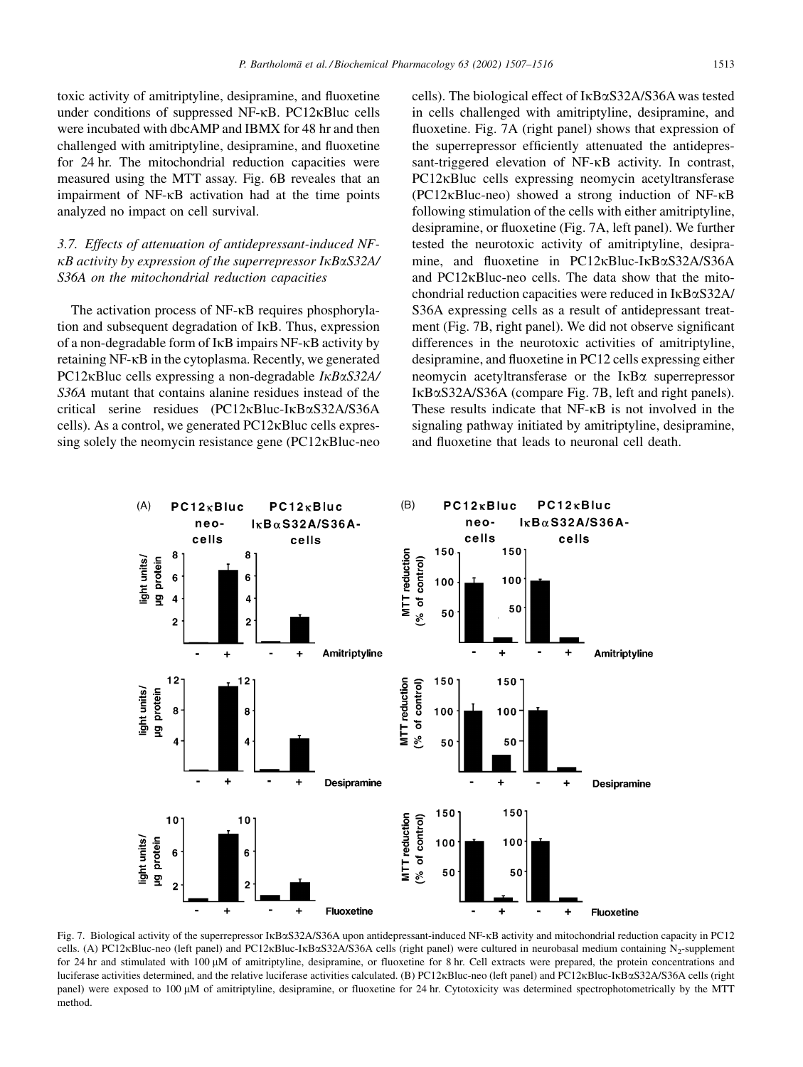toxic activity of amitriptyline, desipramine, and fluoxetine under conditions of suppressed NF-KB. PC12KBluc cells were incubated with dbcAMP and IBMX for 48 hr and then challenged with amitriptyline, desipramine, and fluoxetine for 24 hr. The mitochondrial reduction capacities were measured using the MTT assay. Fig. 6B reveales that an impairment of NF-KB activation had at the time points analyzed no impact on cell survival.

# 3.7. Effects of attenuation of antidepressant-induced NF- $\kappa$ B activity by expression of the superrepressor I $\kappa$ B $\alpha$ S32A/ S36A on the mitochondrial reduction capacities

The activation process of NF-KB requires phosphorylation and subsequent degradation of IKB. Thus, expression of a non-degradable form of IKB impairs NF-KB activity by retaining NF-KB in the cytoplasma. Recently, we generated PC12 $\kappa$ Bluc cells expressing a non-degradable  $I\kappa B\alpha S32A$ S36A mutant that contains alanine residues instead of the critical serine residues  $(PC12\kappa B\mu c-I\kappa B\alpha S32A/S36A)$ cells). As a control, we generated PC12KBluc cells expressing solely the neomycin resistance gene (PC12<sub>KB</sub>luc-neo

cells). The biological effect of IKB $\alpha$ S32A/S36A was tested in cells challenged with amitriptyline, desipramine, and fluoxetine. Fig. 7A (right panel) shows that expression of the superrepressor efficiently attenuated the antidepressant-triggered elevation of NF-KB activity. In contrast, PC12<sub>K</sub>Bluc cells expressing neomycin acetyltransferase  $(PC12\kappa Bluc-neo)$  showed a strong induction of NF- $\kappa$ B following stimulation of the cells with either amitriptyline, desipramine, or fluoxetine (Fig. 7A, left panel). We further tested the neurotoxic activity of amitriptyline, desipramine, and fluoxetine in  $PC12\kappa B\mu$ c-I $\kappa B\alpha$ S32A/S36A and PC12<sub>K</sub>Bluc-neo cells. The data show that the mitochondrial reduction capacities were reduced in IKB $\alpha$ S32A/ S36A expressing cells as a result of antidepressant treatment (Fig. 7B, right panel). We did not observe significant differences in the neurotoxic activities of amitriptyline, desipramine, and fluoxetine in PC12 cells expressing either neomycin acetyltransferase or the  $I\kappa B\alpha$  superrepressor IκBαS32A/S36A (compare Fig. 7B, left and right panels). These results indicate that NF-KB is not involved in the signaling pathway initiated by amitriptyline, desipramine, and fluoxetine that leads to neuronal cell death.



Fig. 7. Biological activity of the superrepressor IkBaS32A/S36A upon antidepressant-induced NF-kB activity and mitochondrial reduction capacity in PC12 cells. (A) PC12KBluc-neo (left panel) and PC12KBluc-IKBaS32A/S36A cells (right panel) were cultured in neurobasal medium containing N<sub>2</sub>-supplement for 24 hr and stimulated with 100  $\mu$ M of amitriptyline, desipramine, or fluoxetine for 8 hr. Cell extracts were prepared, the protein concentrations and luciferase activities determined, and the relative luciferase activities calculated. (B) PC12KBluc-neo (left panel) and PC12KBluc-IKBaS32A/S36A cells (right panel) were exposed to 100  $\mu$ M of amitriptyline, desipramine, or fluoxetine for 24 hr. Cytotoxicity was determined spectrophotometrically by the MTT method.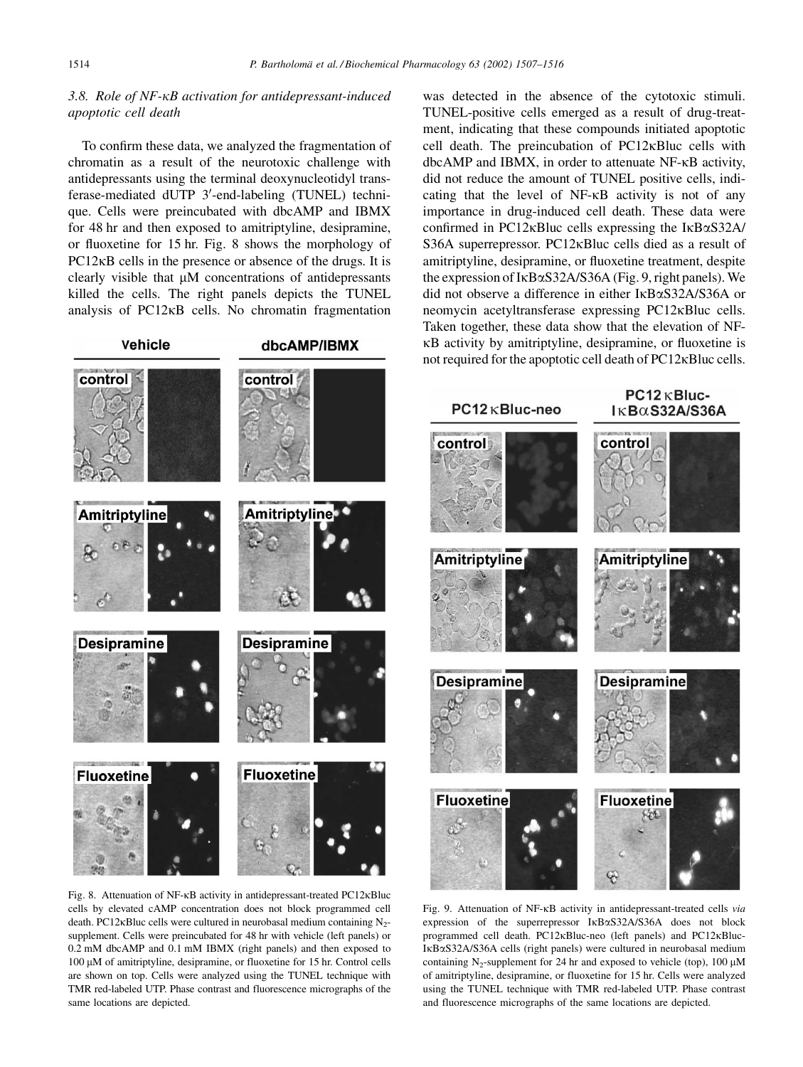# 3.8. Role of NF-KB activation for antidepressant-induced apoptotic cell death

To confirm these data, we analyzed the fragmentation of chromatin as a result of the neurotoxic challenge with antidepressants using the terminal deoxynucleotidyl transferase-mediated dUTP 3'-end-labeling (TUNEL) technique. Cells were preincubated with dbcAMP and IBMX for 48 hr and then exposed to amitriptyline, desipramine, or fluoxetine for 15 hr. Fig. 8 shows the morphology of  $PC12<sub>K</sub>B$  cells in the presence or absence of the drugs. It is clearly visible that  $\mu$ M concentrations of antidepressants killed the cells. The right panels depicts the TUNEL analysis of PC12KB cells. No chromatin fragmentation

Vehicle dbcAMP/IBMX control control **Amitriptyline** Amitriptyline **Desipramine Desipramine Fluoxetine Fluoxetine** 

Fig. 8. Attenuation of NF-KB activity in antidepressant-treated PC12KBluc cells by elevated cAMP concentration does not block programmed cell death. PC12 $\kappa$ Bluc cells were cultured in neurobasal medium containing N<sub>2</sub>supplement. Cells were preincubated for 48 hr with vehicle (left panels) or 0.2 mM dbcAMP and 0.1 mM IBMX (right panels) and then exposed to 100 μM of amitriptyline, desipramine, or fluoxetine for 15 hr. Control cells are shown on top. Cells were analyzed using the TUNEL technique with TMR red-labeled UTP. Phase contrast and fluorescence micrographs of the same locations are depicted.

was detected in the absence of the cytotoxic stimuli. TUNEL-positive cells emerged as a result of drug-treatment, indicating that these compounds initiated apoptotic cell death. The preincubation of PC12<sub>K</sub>Bluc cells with dbcAMP and IBMX, in order to attenuate NF-KB activity, did not reduce the amount of TUNEL positive cells, indicating that the level of NF-KB activity is not of any importance in drug-induced cell death. These data were confirmed in PC12<sub>K</sub>Bluc cells expressing the I<sub>KB $\alpha$ S32A/</sub> S36A superrepressor. PC12<sub>K</sub>Bluc cells died as a result of amitriptyline, desipramine, or fluoxetine treatment, despite the expression of  $I \kappa B \alpha S32A/S36A$  (Fig. 9, right panels). We did not observe a difference in either IKB $\alpha$ S32A/S36A or neomycin acetyltransferase expressing PC12KBluc cells. Taken together, these data show that the elevation of NF-KB activity by amitriptyline, desipramine, or fluoxetine is not required for the apoptotic cell death of PC12<sub>K</sub>Bluc cells.

 $PC12$  KBluc- $PC12 \kappa$ Bluc-neo  $I K B\alpha S32A/S36A$ control control **Amitriptyline Amitriptyline Desipramine Desipramine Fluoxetine Fluoxetine**  $850$ 

Fig. 9. Attenuation of NF-KB activity in antidepressant-treated cells via expression of the superrepressor  $I \kappa B \alpha S32A/S36A$  does not block programmed cell death. PC12KBluc-neo (left panels) and PC12KBluc-IKBαS32A/S36A cells (right panels) were cultured in neurobasal medium containing N<sub>2</sub>-supplement for 24 hr and exposed to vehicle (top), 100  $\mu$ M of amitriptyline, desipramine, or fluoxetine for 15 hr. Cells were analyzed using the TUNEL technique with TMR red-labeled UTP. Phase contrast and fluorescence micrographs of the same locations are depicted.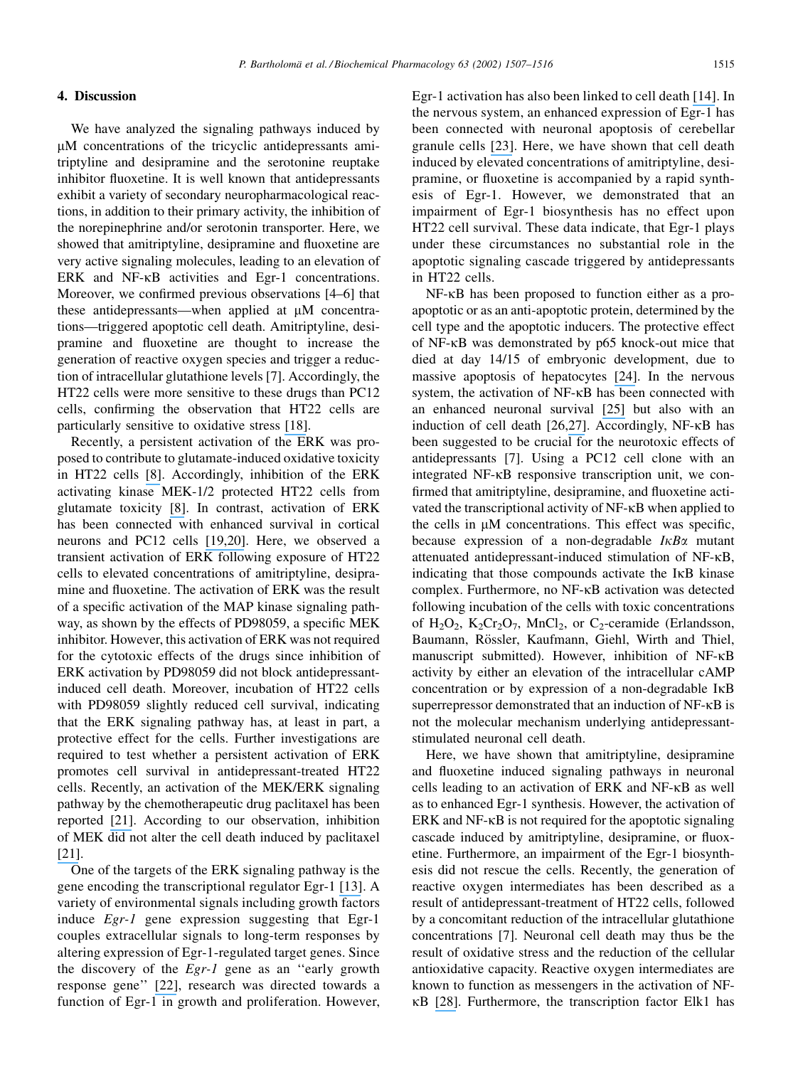# 4. Discussion

We have analyzed the signaling pathways induced by µM concentrations of the tricyclic antidepressants amitriptyline and desipramine and the serotonine reuptake inhibitor fluoxetine. It is well known that antidepressants exhibit a variety of secondary neuropharmacological reactions, in addition to their primary activity, the inhibition of the norepinephrine and/or serotonin transporter. Here, we showed that amitriptyline, desipramine and fluoxetine are very active signaling molecules, leading to an elevation of ERK and NF-KB activities and Egr-1 concentrations. Moreover, we confirmed previous observations [4–6] that these antidepressants—when applied at µM concentrations—triggered apoptotic cell death. Amitriptyline, desipramine and fluoxetine are thought to increase the generation of reactive oxygen species and trigger a reduction of intracellular glutathione levels [7]. Accordingly, the HT22 cells were more sensitive to these drugs than PC12 cells, confirming the observation that HT22 cells are particularly sensitive to oxidative stress [18].

Recently, a persistent activation of the ERK was proposed to contribute to glutamate-induced oxidative toxicity in HT22 cells [8]. Accordingly, inhibition of the ERK activating kinase MEK-1/2 protected HT22 cells from glutamate toxicity [8]. In contrast, activation of ERK has been connected with enhanced survival in cortical neurons and PC12 cells [19,20]. Here, we observed a transient activation of ERK following exposure of HT22 cells to elevated concentrations of amitriptyline, desipramine and fluoxetine. The activation of ERK was the result of a specific activation of the MAP kinase signaling pathway, as shown by the effects of PD98059, a specific MEK inhibitor. However, this activation of ERK was not required for the cytotoxic effects of the drugs since inhibition of ERK activation by PD98059 did not block antidepressantinduced cell death. Moreover, incubation of HT22 cells with PD98059 slightly reduced cell survival, indicating that the ERK signaling pathway has, at least in part, a protective effect for the cells. Further investigations are required to test whether a persistent activation of ERK promotes cell survival in antidepressant-treated HT22 cells. Recently, an activation of the MEK/ERK signaling pathway by the chemotherapeutic drug paclitaxel has been reported [21]. According to our observation, inhibition of MEK did not alter the cell death induced by paclitaxel  $[21]$ .

One of the targets of the ERK signaling pathway is the gene encoding the transcriptional regulator Egr-1 [13]. A variety of environmental signals including growth factors induce *Egr-1* gene expression suggesting that Egr-1 couples extracellular signals to long-term responses by altering expression of Egr-1-regulated target genes. Since the discovery of the *Egr-1* gene as an "early growth response gene" [22], research was directed towards a function of Egr- $1$  in growth and proliferation. However, Egr-1 activation has also been linked to cell death [14]. In the nervous system, an enhanced expression of Egr-1 has been connected with neuronal apoptosis of cerebellar granule cells [23]. Here, we have shown that cell death induced by elevated concentrations of amitriptyline, desipramine, or fluoxetine is accompanied by a rapid synthesis of Egr-1. However, we demonstrated that an impairment of Egr-1 biosynthesis has no effect upon HT22 cell survival. These data indicate, that Egr-1 plays under these circumstances no substantial role in the apoptotic signaling cascade triggered by antidepressants in HT22 cells.

NF-KB has been proposed to function either as a proapoptotic or as an anti-apoptotic protein, determined by the cell type and the apoptotic inducers. The protective effect of NF-KB was demonstrated by p65 knock-out mice that died at day 14/15 of embryonic development, due to massive apoptosis of hepatocytes [24]. In the nervous system, the activation of NF-KB has been connected with an enhanced neuronal survival [25] but also with an induction of cell death [26,27]. Accordingly, NF-KB has been suggested to be crucial for the neurotoxic effects of antidepressants [7]. Using a PC12 cell clone with an integrated NF-KB responsive transcription unit, we confirmed that amitriptyline, desipramine, and fluoxetine activated the transcriptional activity of NF-KB when applied to the cells in  $\mu$ M concentrations. This effect was specific, because expression of a non-degradable  $I \kappa B\alpha$  mutant attenuated antidepressant-induced stimulation of NF-KB, indicating that those compounds activate the IKB kinase complex. Furthermore, no NF-KB activation was detected following incubation of the cells with toxic concentrations of  $H_2O_2$ ,  $K_2Cr_2O_7$ , MnCl<sub>2</sub>, or C<sub>2</sub>-ceramide (Erlandsson, Baumann, Rössler, Kaufmann, Giehl, Wirth and Thiel, manuscript submitted). However, inhibition of NF-KB activity by either an elevation of the intracellular cAMP concentration or by expression of a non-degradable IKB superrepressor demonstrated that an induction of NF-KB is not the molecular mechanism underlying antidepressantstimulated neuronal cell death.

Here, we have shown that amitriptyline, desipramine and fluoxetine induced signaling pathways in neuronal cells leading to an activation of ERK and NF-KB as well as to enhanced Egr-1 synthesis. However, the activation of ERK and  $NF$ - $\kappa$ B is not required for the apoptotic signaling cascade induced by amitriptyline, desipramine, or fluoxetine. Furthermore, an impairment of the Egr-1 biosynthesis did not rescue the cells. Recently, the generation of reactive oxygen intermediates has been described as a result of antidepressant-treatment of HT22 cells, followed by a concomitant reduction of the intracellular glutathione concentrations [7]. Neuronal cell death may thus be the result of oxidative stress and the reduction of the cellular antioxidative capacity. Reactive oxygen intermediates are known to function as messengers in the activation of NF- $\kappa$ B [28]. Furthermore, the transcription factor Elk1 has